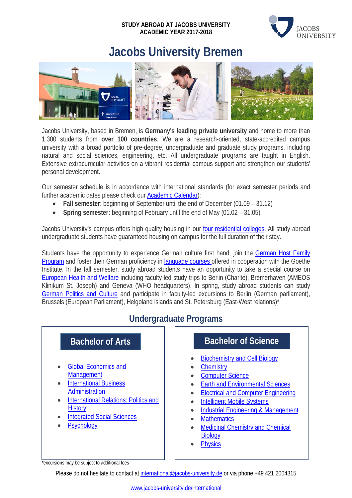#### **STUDY ABROAD AT JACOBS UNIVERSITY ACADEMIC YEAR 2017-2018**



# **Jacobs University Bremen**



Jacobs University, based in Bremen, is **Germany's leading private university** and home to more than 1,300 students from **over 100 countries**. We are a research-oriented, state-accredited campus university with a broad portfolio of pre-degree, undergraduate and graduate study programs, including natural and social sciences, engineering, etc. All undergraduate programs are taught in English. Extensive extracurricular activities on a vibrant residential campus support and strengthen our students' personal development.

Our semester schedule is in accordance with international standards (for exact semester periods and further academic dates please check our [Academic Calendar\)](https://www.jacobs-university.de/academic-calendar):

- **Fall semester**: beginning of September until the end of December (01.09 31.12)
- **Spring semester:** beginning of February until the end of May (01.02 31.05)

Jacobs University's campus offers high quality housing in our [four residential colleges.](https://www.jacobs-university.de/study/undergraduate-study/campus-life/residential-colleges) All study abroad undergraduate students have guaranteed housing on campus for the full duration of their stay.

Students have the opportunity to experience German culture first hand, join the German Host Family [Program](https://www.jacobs-university.de/student-service-center) and foster their German proficiency in [language courses o](https://www.jacobs-university.de/study/learning-languages)ffered in cooperation with the Goethe Institute. In the fall semester, study abroad students have an opportunity to take a special course on [European Health and Welfare](http://intoffice.user.jacobs-university.de/premedabroad/) including faculty-led study trips to Berlin (Charité), Bremerhaven (AMEOS Klinikum St. Joseph) and Geneva (WHO headquarters). In spring, study abroad students can study [German Politics and Culture](http://intoffice.user.jacobs-university.de/lafayette/) and participate in faculty-led excursions to Berlin (German parliament), Brussels (European Parliament), Helgoland islands and St. Petersburg (East-West relations)\*.

# **Undergraduate Programs**



**\***excursions may be subject to additional fees

Please do not hesitate to contact a[t international@jacobs-university.de](mailto:international@jacobs-university.de) or via phone +49 421 2004315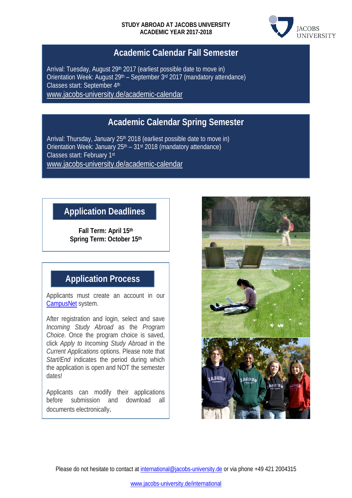

### **Academic Calendar Fall Semester**

Arrival: Tuesday, August 29<sup>th</sup> 2017 (earliest possible date to move in) Orientation Week: August  $29<sup>th</sup>$  – September  $3<sup>rd</sup>$  2017 (mandatory attendance) Classes start: September 4th [www.jacobs-university.de/academic-calendar](http://www.jacobs-university.de/academic-calendar)

# **Academic Calendar Spring Semester**

Arrival: Thursday, January 25<sup>th</sup> 2018 (earliest possible date to move in) Orientation Week: January  $25<sup>th</sup> - 31<sup>st</sup> 2018$  (mandatory attendance) Classes start: February 1st [www.jacobs-university.de/academic-calendar](http://www.jacobs-university.de/academic-calendar)

# **Application Deadlines**

**Fall Term: April 15th Spring Term: October 15th**

# **Application Process**

Applicants must create an account in our [CampusNet](https://campusnet.jacobs-university.de/scripts/mgrqispi.dll?APPNAME=CampusNet&PRGNAME=CREATEACCOUNT&ARGUMENTS=-N000000000000001,-N000106,) system.

After registration and login, select and save *Incoming Study Abroad* as the *Program Choice*. Once the program choice is saved, click *Apply to Incoming Study Abroad* in the *Current Applications* options. Please note that *Start/End* indicates the period during which the application is open and NOT the semester dates!

Applicants can modify their applications before submission and download all documents electronically.



Please do not hesitate to contact a[t international@jacobs-university.de](mailto:international@jacobs-university.de) or via phone +49 421 2004315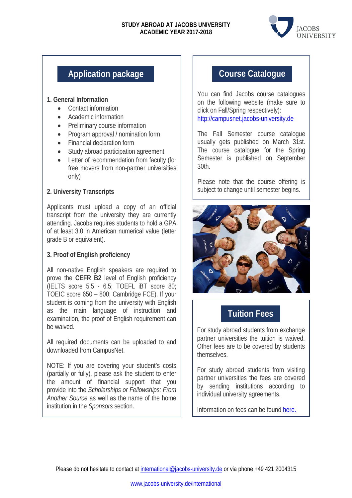#### **STUDY ABROAD AT JACOBS UNIVERSITY ACADEMIC YEAR 2017-2018**



# **Application package**

#### **1. General Information**

- Contact information
- Academic information
- Preliminary course information
- Program approval / nomination form
- Financial declaration form
- Study abroad participation agreement
- Letter of recommendation from faculty (for free movers from non-partner universities only)

#### **2. University Transcripts**

Applicants must upload a copy of an official transcript from the university they are currently attending. Jacobs requires students to hold a GPA of at least 3.0 in American numerical value (letter grade B or equivalent).

#### **3. Proof of English proficiency**

All non-native English speakers are required to prove the **CEFR B2** level of English proficiency (IELTS score 5.5 - 6.5; TOEFL iBT score 80; TOEIC score 650 – 800; Cambridge FCE). If your student is coming from the university with English as the main language of instruction and examination, the proof of English requirement can be waived.

All required documents can be uploaded to and downloaded from CampusNet.

NOTE: If you are covering your student's costs (partially or fully), please ask the student to enter the amount of financial support that you provide into the *Scholarships or Fellowships: From Another Source* as well as the name of the home institution in the *Sponsors* section.

# **Course Catalogue**

You can find Jacobs course catalogues on the following website (make sure to click on Fall/Spring respectively): [http://campusnet.jacobs-university.de](http://campusnet.jacobs-university.de/)

The Fall Semester course catalogue usually gets published on March 31st. The course catalogue for the Spring Semester is published on September 30th.

Please note that the course offering is subject to change until semester begins.



### **Tuition Fees**

For study abroad students from exchange partner universities the tuition is waived. Other fees are to be covered by students themselves.

For study abroad students from visiting partner universities the fees are covered by sending institutions according to individual university agreements.

Information on fees can be found [here](https://www.jacobs-university.de/study/undergraduate/fees-finances/tuition-fees).